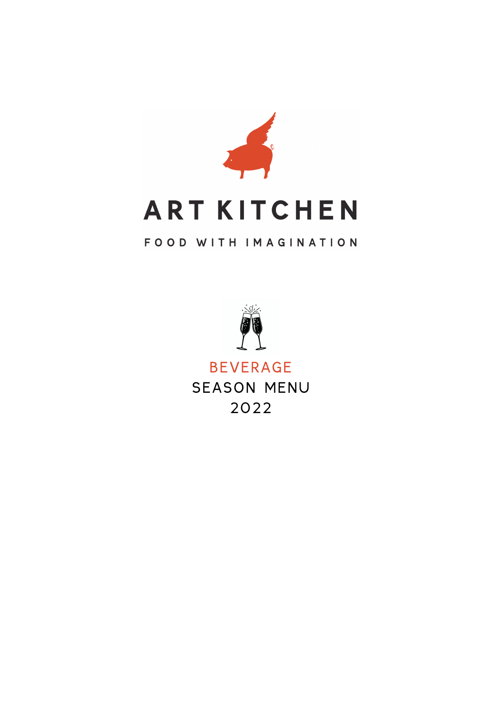

## **ART KITCHEN**

### FOOD WITH IMAGINATION



BEVERAGE SEASON MENU 2022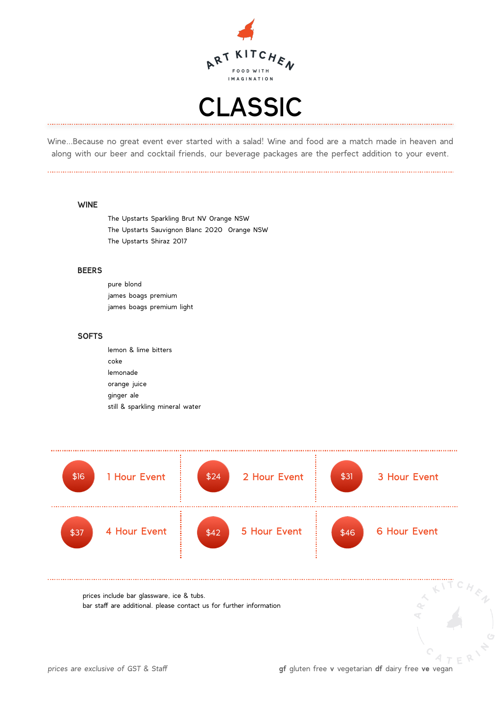



Wine…Because no great event ever started with a salad! Wine and food are a match made in heaven and along with our beer and cocktail friends, our beverage packages are the perfect addition to your event.

#### **WINE**

The Upstarts Sparkling Brut NV Orange NSW The Upstarts Sauvignon Blanc 2020 Orange NSW The Upstarts Shiraz 2017

#### **BEERS**

pure blond james boags premium james boags premium light

#### **SOFTS**

lemon & lime bitters coke lemonade orange juice ginger ale still & sparkling mineral water

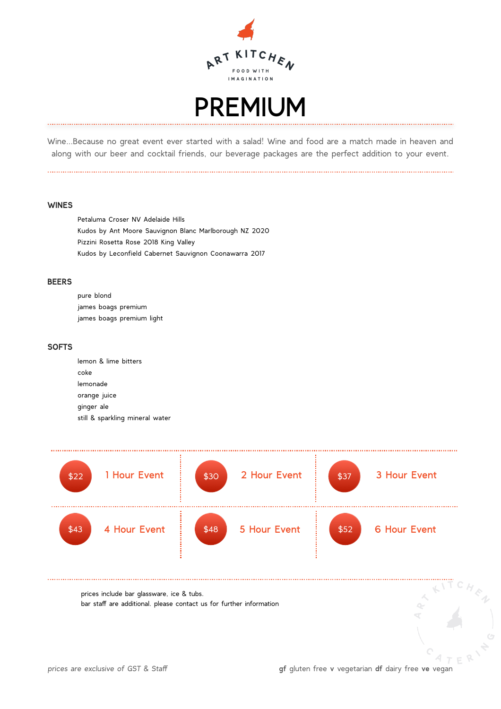



Wine…Because no great event ever started with a salad! Wine and food are a match made in heaven and along with our beer and cocktail friends, our beverage packages are the perfect addition to your event.

#### **WINES**

Petaluma Croser NV Adelaide Hills Kudos by Ant Moore Sauvignon Blanc Marlborough NZ 2020 Pizzini Rosetta Rose 2018 King Valley Kudos by Leconfield Cabernet Sauvignon Coonawarra 2017

#### **BEERS**

pure blond james boags premium james boags premium light

#### **SOFTS**

lemon & lime bitters coke lemonade orange juice ginger ale still & sparkling mineral water

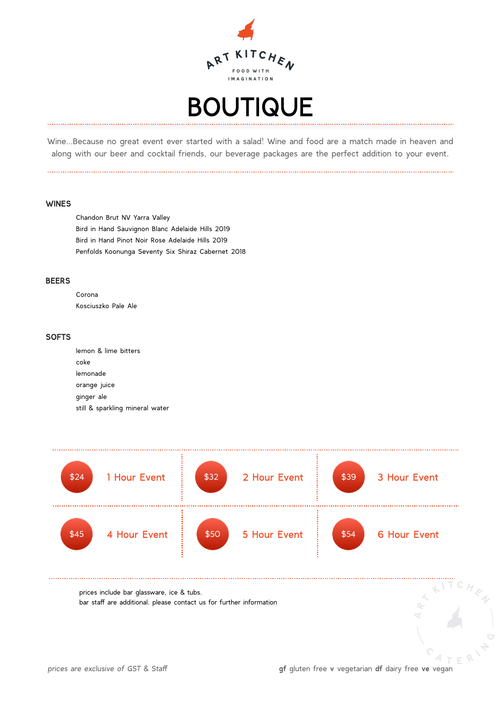

### BOUTIQUE

Wine…Because no great event ever started with a salad! Wine and food are a match made in heaven and along with our beer and cocktail friends, our beverage packages are the perfect addition to your event.

#### **WINES**

Chandon Brut NV Yarra Valley Bird in Hand Sauvignon Blanc Adelaide Hills 2019 Bird in Hand Pinot Noir Rose Adelaide Hills 2019 Penfolds Koonunga Seventy Six Shiraz Cabernet 2018

#### **BEERS**

Corona Kosciuszko Pale Ale

#### **SOFTS**

lemon & lime bitters coke lemonade orange juice ginger ale still & sparkling mineral water

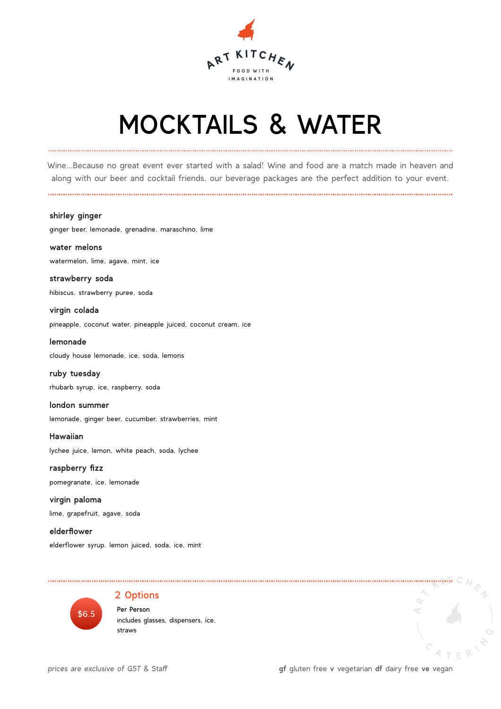

# MOCKTAILS & WATER

Wine…Because no great event ever started with a salad! Wine and food are a match made in heaven and along with our beer and cocktail friends, our beverage packages are the perfect addition to your event.

**shirley ginger** 

ginger beer, lemonade, grenadine, maraschino, lime

**water melons**  watermelon, lime, agave, mint, ice

**strawberry soda**  hibiscus, strawberry puree, soda

**virgin colada**  pineapple, coconut water, pineapple juiced, coconut cream, ice

**lemonade**  cloudy house lemonade, ice, soda, lemons

**ruby tuesday** rhubarb syrup, ice, raspberry, soda

**london summer** lemonade, ginger beer, cucumber, strawberries, mint

**Hawaiian** lychee juice, lemon, white peach, soda, lychee

**raspberry fizz** pomegranate, ice, lemonade

**virgin paloma** lime, grapefruit, agave, soda

**elderflower** elderflower syrup, lemon juiced, soda, ice, mint



#### 2 Options

 Per Person includes glasses, dispensers, ice, straws